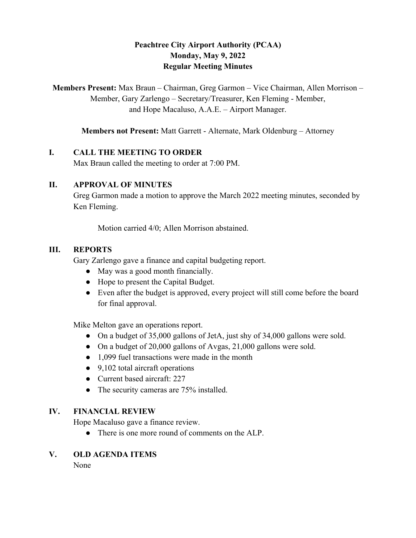# **Peachtree City Airport Authority (PCAA) Monday, May 9, 2022 Regular Meeting Minutes**

**Members Present:** Max Braun – Chairman, Greg Garmon – Vice Chairman, Allen Morrison – Member, Gary Zarlengo – Secretary/Treasurer, Ken Fleming - Member, and Hope Macaluso, A.A.E. – Airport Manager.

**Members not Present:** Matt Garrett - Alternate, Mark Oldenburg – Attorney

## **I. CALL THE MEETING TO ORDER**

Max Braun called the meeting to order at 7:00 PM.

### **II. APPROVAL OF MINUTES**

Greg Garmon made a motion to approve the March 2022 meeting minutes, seconded by Ken Fleming.

Motion carried 4/0; Allen Morrison abstained.

#### **III. REPORTS**

Gary Zarlengo gave a finance and capital budgeting report.

- May was a good month financially.
- Hope to present the Capital Budget.
- Even after the budget is approved, every project will still come before the board for final approval.

Mike Melton gave an operations report.

- On a budget of 35,000 gallons of JetA, just shy of 34,000 gallons were sold.
- On a budget of 20,000 gallons of Avgas, 21,000 gallons were sold.
- 1,099 fuel transactions were made in the month
- 9,102 total aircraft operations
- Current based aircraft: 227
- The security cameras are 75% installed.

## **IV. FINANCIAL REVIEW**

Hope Macaluso gave a finance review.

• There is one more round of comments on the ALP.

## **V. OLD AGENDA ITEMS**

None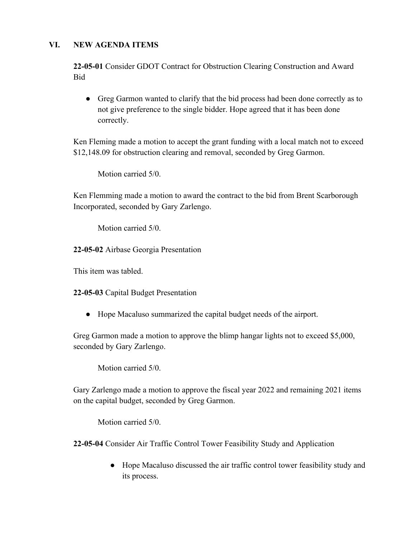## **VI. NEW AGENDA ITEMS**

**22-05-01** Consider GDOT Contract for Obstruction Clearing Construction and Award Bid

● Greg Garmon wanted to clarify that the bid process had been done correctly as to not give preference to the single bidder. Hope agreed that it has been done correctly.

Ken Fleming made a motion to accept the grant funding with a local match not to exceed \$12,148.09 for obstruction clearing and removal, seconded by Greg Garmon.

Motion carried 5/0.

Ken Flemming made a motion to award the contract to the bid from Brent Scarborough Incorporated, seconded by Gary Zarlengo.

Motion carried 5/0.

**22-05-02** Airbase Georgia Presentation

This item was tabled.

**22-05-03** Capital Budget Presentation

● Hope Macaluso summarized the capital budget needs of the airport.

Greg Garmon made a motion to approve the blimp hangar lights not to exceed \$5,000, seconded by Gary Zarlengo.

Motion carried 5/0.

Gary Zarlengo made a motion to approve the fiscal year 2022 and remaining 2021 items on the capital budget, seconded by Greg Garmon.

Motion carried 5/0.

**22-05-04** Consider Air Traffic Control Tower Feasibility Study and Application

● Hope Macaluso discussed the air traffic control tower feasibility study and its process.